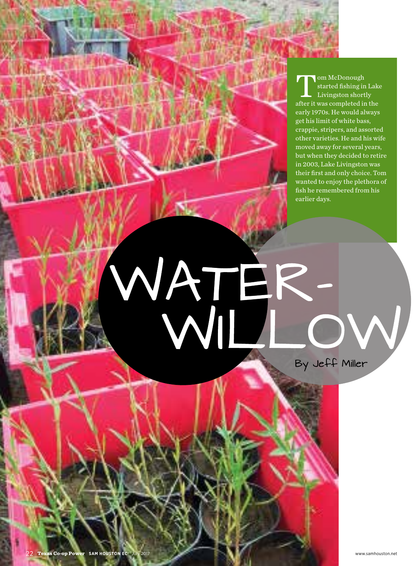om McDonough<br>started fishing in<br>Livingston short<br>after it was completed in started fishing in Lake Livingston shortly after it was completed in the early 1970s. He would always get his limit of white bass, crappie, stripers, and assorted other varieties. He and his wife moved away for several years, but when they decided to retire in 2003, Lake Livingston was their first and only choice. Tom wanted to enjoy the plethora of fish he remembered from his earlier days.

## WATER.

By Jeff Miller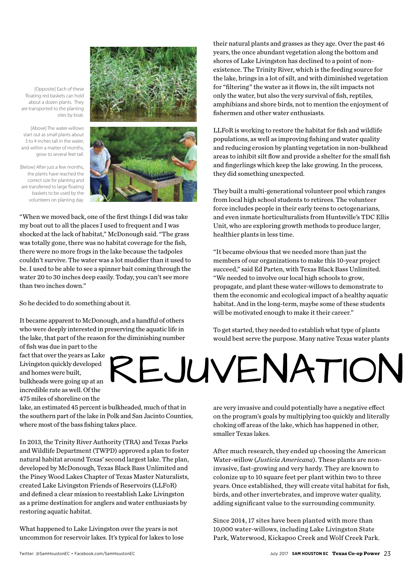[Opposite] Each of these floating red baskets can hold about a dozen plants. They are transported to the planting sites by boat.

[Above] The water-willows start out as small plants about 3 to 4 inches tall in the water, and within a matter of months, grow to several feet tall.

[Below] After just a few months, the plants have reached the correct size for planting and are transferred to large floating baskets to be used by the volunteers on planting day.



"When we moved back, one of the first things I did was take my boat out to all the places I used to frequent and I was shocked at the lack of habitat," McDonough said. "The grass was totally gone, there was no habitat coverage for the fish, there were no more frogs in the lake because the tadpoles couldn't survive. The water was a lot muddier than it used to be. I used to be able to see a spinner bait coming through the water 20 to 30 inches deep easily. Today, you can't see more than two inches down."

So he decided to do something about it.

It became apparent to McDonough, and a handful of others who were deeply interested in preserving the aquatic life in the lake, that part of the reason for the diminishing number

of fish was due in part to the fact that over the years as Lake Livingston quickly developed and homes were built, bulkheads were going up at an incredible rate as well. Of the 475 miles of shoreline on the

lake, an estimated 45 percent is bulkheaded, much of that in the southern part of the lake in Polk and San Jacinto Counties, where most of the bass fishing takes place.

In 2013, the Trinity River Authority (TRA) and Texas Parks and Wildlife Department (TWPD) approved a plan to foster natural habitat around Texas' second largest lake. The plan, developed by McDonough, Texas Black Bass Unlimited and the Piney Wood Lakes Chapter of Texas Master Naturalists, created Lake Livingston Friends of Reservoirs (LLFoR) and defined a clear mission to reestablish Lake Livingston as a prime destination for anglers and water enthusiasts by restoring aquatic habitat.

What happened to Lake Livingston over the years is not uncommon for reservoir lakes. It's typical for lakes to lose their natural plants and grasses as they age. Over the past 46 years, the once abundant vegetation along the bottom and shores of Lake Livingston has declined to a point of nonexistence. The Trinity River, which is the feeding source for the lake, brings in a lot of silt, and with diminished vegetation for "filtering" the water as it flows in, the silt impacts not only the water, but also the very survival of fish, reptiles, amphibians and shore birds, not to mention the enjoyment of fishermen and other water enthusiasts.

LLFoR is working to restore the habitat for fish and wildlife populations, as well as improving fishing and water quality and reducing erosion by planting vegetation in non-bulkhead areas to inhibit silt flow and provide a shelter for the small fish and fingerlings which keep the lake growing. In the process, they did something unexpected.

They built a multi-generational volunteer pool which ranges from local high school students to retirees. The volunteer force includes people in their early teens to octogenarians, and even inmate horticulturalists from Huntsville's TDC Ellis Unit, who are exploring growth methods to produce larger, healthier plants in less time.

"It became obvious that we needed more than just the members of our organizations to make this 10-year project succeed," said Ed Parten, with Texas Black Bass Unlimited. "We needed to involve our local high schools to grow, propagate, and plant these water-willows to demonstrate to them the economic and ecological impact of a healthy aquatic habitat. And in the long-term, maybe some of these students will be motivated enough to make it their career."

To get started, they needed to establish what type of plants would best serve the purpose. Many native Texas water plants

REJUVENATION

are very invasive and could potentially have a negative effect on the program's goals by multiplying too quickly and literally choking off areas of the lake, which has happened in other, smaller Texas lakes.

After much research, they ended up choosing the American Water-willow (*Justicia Americana*). These plants are noninvasive, fast-growing and very hardy. They are known to colonize up to 10 square feet per plant within two to three years. Once established, they will create vital habitat for fish, birds, and other invertebrates, and improve water quality, adding significant value to the surrounding community.

Since 2014, 17 sites have been planted with more than 10,000 water-willows, including Lake Livingston State Park, Waterwood, Kickapoo Creek and Wolf Creek Park.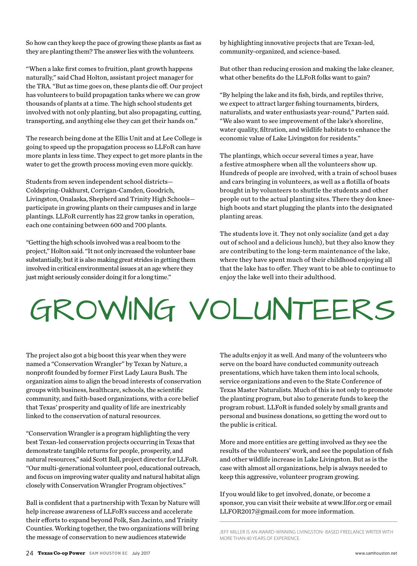So how can they keep the pace of growing these plants as fast as they are planting them? The answer lies with the volunteers.

"When a lake first comes to fruition, plant growth happens naturally," said Chad Holton, assistant project manager for the TRA. "But as time goes on, these plants die off. Our project has volunteers to build propagation tanks where we can grow thousands of plants at a time. The high school students get involved with not only planting, but also propagating, cutting, transporting, and anything else they can get their hands on."

The research being done at the Ellis Unit and at Lee College is going to speed up the propagation process so LLFoR can have more plants in less time. They expect to get more plants in the water to get the growth process moving even more quickly.

Students from seven independent school districts— Coldspring-Oakhurst, Corrigan-Camden, Goodrich, Livingston, Onalaska, Shepherd and Trinity High Schools participate in growing plants on their campuses and in large plantings. LLFoR currently has 22 grow tanks in operation, each one containing between 600 and 700 plants.

"Getting the high schools involved was a real boom to the project," Holton said. "It not only increased the volunteer base substantially, but it is also making great strides in getting them involved in critical environmental issues at an age where they just might seriously consider doing it for a long time."

by highlighting innovative projects that are Texan-led, community-organized, and science-based.

But other than reducing erosion and making the lake cleaner, what other benefits do the LLFoR folks want to gain?

"By helping the lake and its fish, birds, and reptiles thrive, we expect to attract larger fishing tournaments, birders, naturalists, and water enthusiasts year-round," Parten said. "We also want to see improvement of the lake's shoreline, water quality, filtration, and wildlife habitats to enhance the economic value of Lake Livingston for residents."

The plantings, which occur several times a year, have a festive atmosphere when all the volunteers show up. Hundreds of people are involved, with a train of school buses and cars bringing in volunteers, as well as a flotilla of boats brought in by volunteers to shuttle the students and other people out to the actual planting sites. There they don kneehigh boots and start plugging the plants into the designated planting areas.

The students love it. They not only socialize (and get a day out of school and a delicious lunch), but they also know they are contributing to the long-term maintenance of the lake, where they have spent much of their childhood enjoying all that the lake has to offer. They want to be able to continue to enjoy the lake well into their adulthood.

## GROWING VOLUNTEERS

The project also got a big boost this year when they were named a "Conservation Wrangler" by Texan by Nature, a nonprofit founded by former First Lady Laura Bush. The organization aims to align the broad interests of conservation groups with business, healthcare, schools, the scientific community, and faith-based organizations, with a core belief that Texas' prosperity and quality of life are inextricably linked to the conservation of natural resources.

"Conservation Wrangler is a program highlighting the very best Texan-led conservation projects occurring in Texas that demonstrate tangible returns for people, prosperity, and natural resources," said Scott Ball, project director for LLFoR. "Our multi-generational volunteer pool, educational outreach, and focus on improving water quality and natural habitat align closely with Conservation Wrangler Program objectives."

Ball is confident that a partnership with Texan by Nature will help increase awareness of LLFoR's success and accelerate their efforts to expand beyond Polk, San Jacinto, and Trinity Counties. Working together, the two organizations will bring the message of conservation to new audiences statewide

The adults enjoy it as well. And many of the volunteers who serve on the board have conducted community outreach presentations, which have taken them into local schools, service organizations and even to the State Conference of Texas Master Naturalists. Much of this is not only to promote the planting program, but also to generate funds to keep the program robust. LLFoR is funded solely by small grants and personal and business donations, so getting the word out to the public is critical.

More and more entities are getting involved as they see the results of the volunteers' work, and see the population of fish and other wildlife increase in Lake Livingston. But as is the case with almost all organizations, help is always needed to keep this aggressive, volunteer program growing.

If you would like to get involved, donate, or become a sponsor, you can visit their website at www.llfor.org or email LLFOR2017@gmail.com for more information.

JEFF MILLER IS AN AWARD-WINNING LIVINGSTON- BASED FREELANCE WRITER WITH MORE THAN 40 YEARS OF EXPERIENCE.